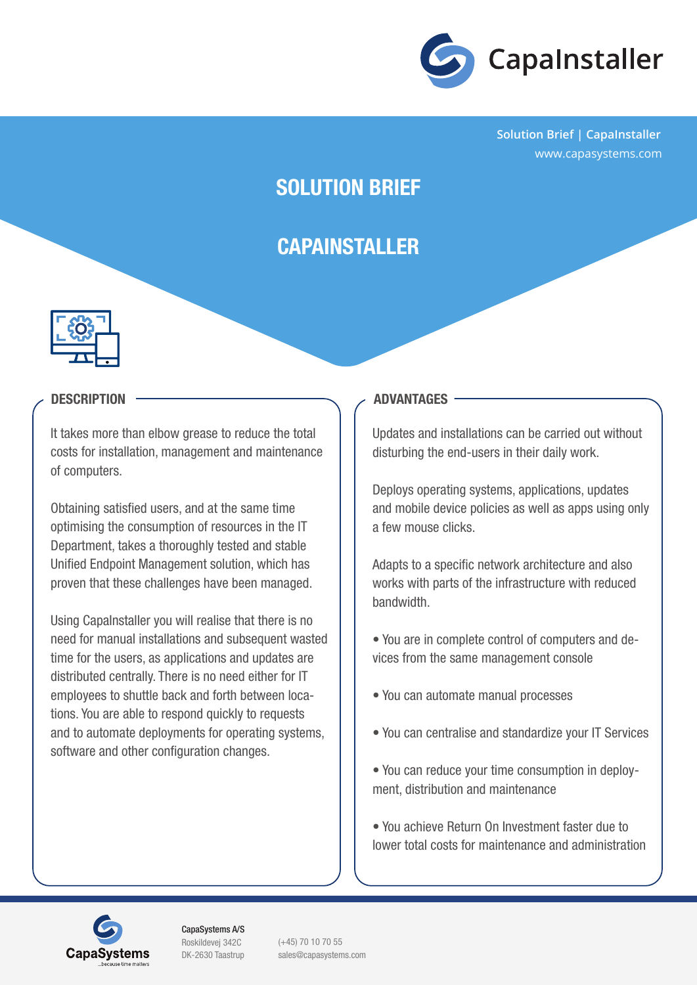

**Solution Brief | CapaInstaller** www.capasystems.com

# SOLUTION BRIEF

## CAPAINSTALLER



It takes more than elbow grease to reduce the total costs for installation, management and maintenance of computers.

Obtaining satisfied users, and at the same time optimising the consumption of resources in the IT Department, takes a thoroughly tested and stable Unified Endpoint Management solution, which has proven that these challenges have been managed.

Using CapaInstaller you will realise that there is no need for manual installations and subsequent wasted time for the users, as applications and updates are distributed centrally. There is no need either for IT employees to shuttle back and forth between locations. You are able to respond quickly to requests and to automate deployments for operating systems, software and other configuration changes.

### DESCRIPTION **ADVANTAGES**

Updates and installations can be carried out without disturbing the end-users in their daily work.

Deploys operating systems, applications, updates and mobile device policies as well as apps using only a few mouse clicks.

Adapts to a specific network architecture and also works with parts of the infrastructure with reduced bandwidth.

- You are in complete control of computers and devices from the same management console
- You can automate manual processes
- You can centralise and standardize your IT Services
- You can reduce your time consumption in deployment, distribution and maintenance
- You achieve Return On Investment faster due to lower total costs for maintenance and administration



CapaSystems A/S Roskildevej 342C DK-2630 Taastrup

(+45) 70 10 70 55 sales@capasystems.com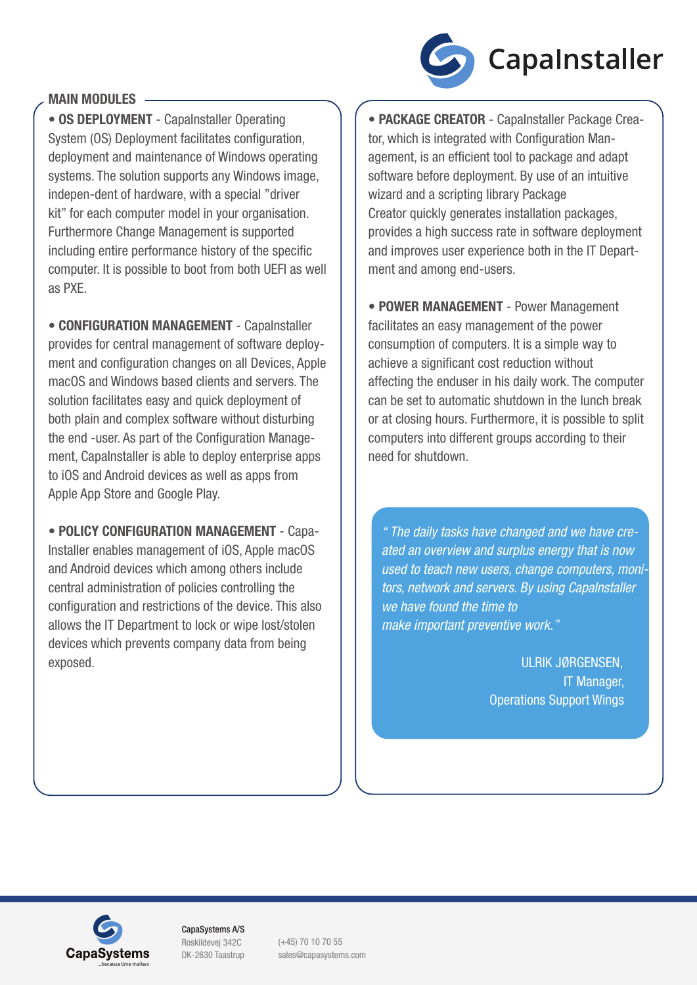

## **MAIN MODULES**

• **OS DEPLOYMENT** - CapaInstaller Operating System (OS) Deployment facilitates configuration, deployment and maintenance of Windows operating systems. The solution supports any Windows image, indepen-dent of hardware, with a special "driver kit" for each computer model in your organisation. Furthermore Change Management is supported including entire performance history of the specific computer. It is possible to boot from both UEFI as well as PXE.

• CONFIGURATION MANAGEMENT - CapaInstaller provides for central management of software deployment and configuration changes on all Devices, Apple macOS and Windows based clients and servers. The solution facilitates easy and quick deployment of both plain and complex software without disturbing the end -user. As part of the Configuration Management, CapaInstaller is able to deploy enterprise apps to iOS and Android devices as well as apps from Apple App Store and Google Play.

• POLICY CONFIGURATION MANAGEMENT - Capa-Installer enables management of iOS, Apple macOS and Android devices which among others include central administration of policies controlling the configuration and restrictions of the device. This also allows the IT Department to lock or wipe lost/stolen devices which prevents company data from being exposed.

• PACKAGE CREATOR - CapaInstaller Package Creator, which is integrated with Configuration Management, is an efficient tool to package and adapt software before deployment. By use of an intuitive wizard and a scripting library Package Creator quickly generates installation packages, provides a high success rate in software deployment and improves user experience both in the IT Department and among end-users.

• POWER MANAGEMENT - Power Management facilitates an easy management of the power consumption of computers. It is a simple way to achieve a significant cost reduction without affecting the enduser in his daily work. The computer can be set to automatic shutdown in the lunch break or at closing hours. Furthermore, it is possible to split computers into different groups according to their need for shutdown.

" The daily tasks have changed and we have created an overview and surplus energy that is now used to teach new users, change computers, monitors, network and servers. By using CapaInstaller we have found the time to make important preventive work."

> ULRIK JØRGENSEN, IT Manager, Operations Support Wings



CapaSystems A/S Roskildevej 342C DK-2630 Taastrup

(+45) 70 10 70 55 sales@capasystems.com